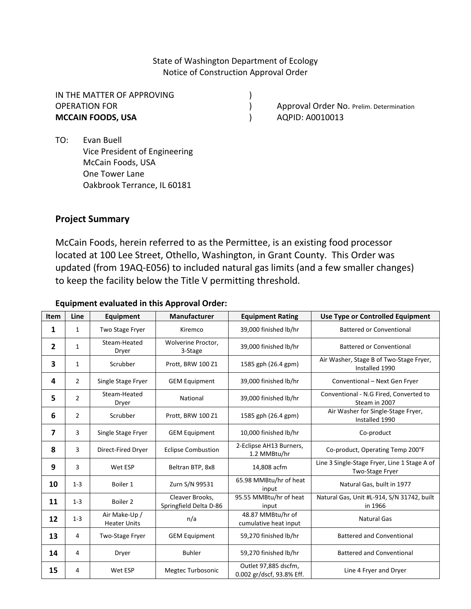State of Washington Department of Ecology Notice of Construction Approval Order

IN THE MATTER OF APPROVING ) **MCCAIN FOODS, USA** (1999) **AQPID: A0010013** 

OPERATION FOR **CONSERVERS** (COPERATION FOR ) Approval Order No. Prelim. Determination

TO: Evan Buell Vice President of Engineering McCain Foods, USA One Tower Lane Oakbrook Terrance, IL 60181

# **Project Summary**

McCain Foods, herein referred to as the Permittee, is an existing food processor located at 100 Lee Street, Othello, Washington, in Grant County. This Order was updated (from 19AQ-E056) to included natural gas limits (and a few smaller changes) to keep the facility below the Title V permitting threshold.

#### **Equipment evaluated in this Approval Order:**

| <b>Item</b> | Line           | <b>Equipment</b>                     | <b>Manufacturer</b>                       | <b>Equipment Rating</b>                           | Use Type or Controlled Equipment                                |
|-------------|----------------|--------------------------------------|-------------------------------------------|---------------------------------------------------|-----------------------------------------------------------------|
| 1           | 1              | Two Stage Fryer                      | Kiremco                                   | 39,000 finished lb/hr                             | <b>Battered or Conventional</b>                                 |
| 2           | 1              | Steam-Heated<br>Dryer                | Wolverine Proctor,<br>3-Stage             | 39,000 finished lb/hr                             | Battered or Conventional                                        |
| 3           | $\mathbf{1}$   | Scrubber                             | Prott, BRW 100 Z1                         | 1585 gph (26.4 gpm)                               | Air Washer, Stage B of Two-Stage Fryer,<br>Installed 1990       |
| 4           | $\overline{2}$ | Single Stage Fryer                   | <b>GEM Equipment</b>                      | 39,000 finished lb/hr                             | Conventional - Next Gen Fryer                                   |
| 5           | $\overline{2}$ | Steam-Heated<br>Dryer                | National                                  | 39,000 finished lb/hr                             | Conventional - N.G Fired, Converted to<br>Steam in 2007         |
| 6           | $\overline{2}$ | Scrubber                             | Prott, BRW 100 Z1                         | 1585 gph (26.4 gpm)                               | Air Washer for Single-Stage Fryer,<br>Installed 1990            |
| 7           | 3              | Single Stage Fryer                   | <b>GEM Equipment</b>                      | 10,000 finished lb/hr                             | Co-product                                                      |
| 8           | 3              | Direct-Fired Dryer                   | <b>Eclipse Combustion</b>                 | 2-Eclipse AH13 Burners,<br>1.2 MMBtu/hr           | Co-product, Operating Temp 200°F                                |
| 9           | 3              | Wet ESP                              | Beltran BTP, 8x8                          | 14,808 acfm                                       | Line 3 Single-Stage Fryer, Line 1 Stage A of<br>Two-Stage Fryer |
| 10          | $1 - 3$        | Boiler 1                             | Zurn S/N 99531                            | 65.98 MMBtu/hr of heat<br>input                   | Natural Gas, built in 1977                                      |
| 11          | $1 - 3$        | Boiler <sub>2</sub>                  | Cleaver Brooks,<br>Springfield Delta D-86 | 95.55 MMBtu/hr of heat<br>input                   | Natural Gas, Unit #L-914, S/N 31742, built<br>in 1966           |
| 12          | $1 - 3$        | Air Make-Up /<br><b>Heater Units</b> | n/a                                       | 48.87 MMBtu/hr of<br>cumulative heat input        | <b>Natural Gas</b>                                              |
| 13          | 4              | Two-Stage Fryer                      | <b>GEM Equipment</b>                      | 59,270 finished lb/hr                             | <b>Battered and Conventional</b>                                |
| 14          | 4              | Dryer                                | <b>Buhler</b>                             | 59,270 finished lb/hr                             | <b>Battered and Conventional</b>                                |
| 15          | 4              | Wet ESP                              | Megtec Turbosonic                         | Outlet 97,885 dscfm,<br>0.002 gr/dscf, 93.8% Eff. | Line 4 Fryer and Dryer                                          |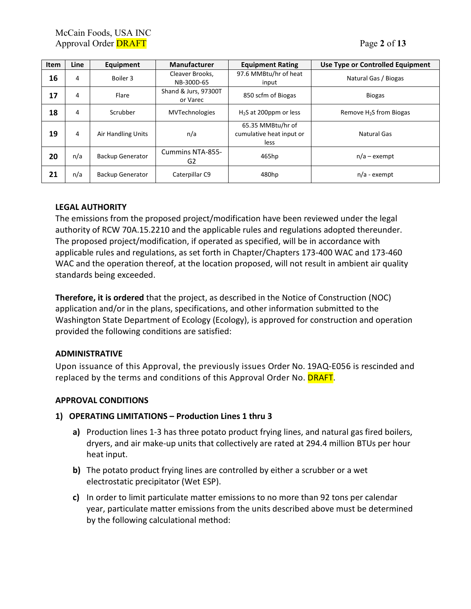| Item | Line | <b>Equipment</b>          | <b>Manufacturer</b>              | <b>Equipment Rating</b>                               | Use Type or Controlled Equipment |
|------|------|---------------------------|----------------------------------|-------------------------------------------------------|----------------------------------|
| 16   | 4    | Boiler 3                  | Cleaver Brooks.<br>NB-300D-65    | 97.6 MMBtu/hr of heat<br>input                        | Natural Gas / Biogas             |
| 17   | 4    | Flare                     | Shand & Jurs, 97300T<br>or Varec | 850 scfm of Biogas                                    | <b>Biogas</b>                    |
| 18   | 4    | Scrubber                  | <b>MVTechnologies</b>            | $H2S$ at 200ppm or less                               | Remove $H_2S$ from Biogas        |
| 19   | 4    | <b>Air Handling Units</b> | n/a                              | 65.35 MMBtu/hr of<br>cumulative heat input or<br>less | Natural Gas                      |
| 20   | n/a  | <b>Backup Generator</b>   | Cummins NTA-855-<br>G2           | 465hp                                                 | $n/a$ – exempt                   |
| 21   | n/a  | <b>Backup Generator</b>   | Caterpillar C9                   | 480hp                                                 | $n/a$ - exempt                   |

### **LEGAL AUTHORITY**

The emissions from the proposed project/modification have been reviewed under the legal authority of RCW 70A.15.2210 and the applicable rules and regulations adopted thereunder. The proposed project/modification, if operated as specified, will be in accordance with applicable rules and regulations, as set forth in Chapter/Chapters 173-400 WAC and 173-460 WAC and the operation thereof, at the location proposed, will not result in ambient air quality standards being exceeded.

**Therefore, it is ordered** that the project, as described in the Notice of Construction (NOC) application and/or in the plans, specifications, and other information submitted to the Washington State Department of Ecology (Ecology), is approved for construction and operation provided the following conditions are satisfied:

### **ADMINISTRATIVE**

Upon issuance of this Approval, the previously issues Order No. 19AQ-E056 is rescinded and replaced by the terms and conditions of this Approval Order No. **DRAFT**.

# **APPROVAL CONDITIONS**

### **1) OPERATING LIMITATIONS – Production Lines 1 thru 3**

- **a)** Production lines 1-3 has three potato product frying lines, and natural gas fired boilers, dryers, and air make-up units that collectively are rated at 294.4 million BTUs per hour heat input.
- **b)** The potato product frying lines are controlled by either a scrubber or a wet electrostatic precipitator (Wet ESP).
- **c)** In order to limit particulate matter emissions to no more than 92 tons per calendar year, particulate matter emissions from the units described above must be determined by the following calculational method: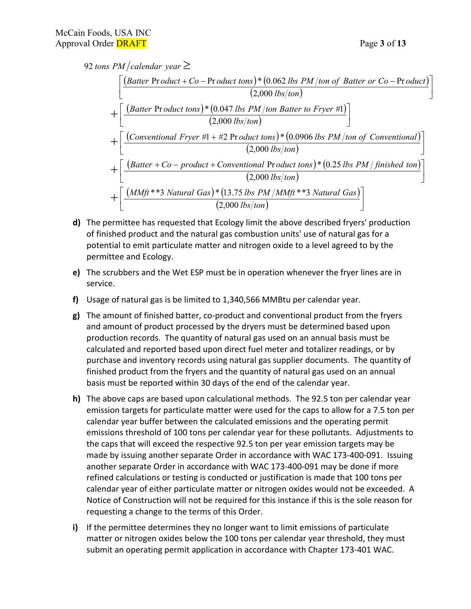≥ *tons PM calendar year* 92

$$
\left[\frac{\text{(Batter Product} + Co - Product tons)* (0.062 lbs PM/ton of Batter or Co - Product)}{(2,000 lbs/ton)}\right]
$$
  
+ 
$$
\left[\frac{\text{(Batter Product tons)* (0.047 lbs PM/ton Batter to Fryer #1)}}{(2,000 lbs/ton)}\right]
$$
  
+ 
$$
\left[\frac{\text{(Conventional Fryer #1 + #2 Product tons)* (0.0906 lbs PM/ton of Conventional)}{(2,000 lbs/ton)}\right]
$$
  
+ 
$$
\left[\frac{\text{(Batter + Co - product + Conventional Pr oduct tons)* (0.25 lbs PM/finished ton)}{(2,000 lbs/ton)}\right]
$$
  
+ 
$$
\left[\frac{\text{(MMft **3 Natural Gas)* (13.75 lbs PM/MMft **3 Natural Gas)}}{(2,000 lbs/ton)}\right]
$$

- **d)** The permittee has requested that Ecology limit the above described fryers' production of finished product and the natural gas combustion units' use of natural gas for a potential to emit particulate matter and nitrogen oxide to a level agreed to by the permittee and Ecology.
- **e)** The scrubbers and the Wet ESP must be in operation whenever the fryer lines are in service.
- **f)** Usage of natural gas is be limited to 1,340,566 MMBtu per calendar year.
- **g)** The amount of finished batter, co-product and conventional product from the fryers and amount of product processed by the dryers must be determined based upon production records. The quantity of natural gas used on an annual basis must be calculated and reported based upon direct fuel meter and totalizer readings, or by purchase and inventory records using natural gas supplier documents. The quantity of finished product from the fryers and the quantity of natural gas used on an annual basis must be reported within 30 days of the end of the calendar year.
- **h)** The above caps are based upon calculational methods. The 92.5 ton per calendar year emission targets for particulate matter were used for the caps to allow for a 7.5 ton per calendar year buffer between the calculated emissions and the operating permit emissions threshold of 100 tons per calendar year for these pollutants. Adjustments to the caps that will exceed the respective 92.5 ton per year emission targets may be made by issuing another separate Order in accordance with WAC 173-400-091. Issuing another separate Order in accordance with WAC 173-400-091 may be done if more refined calculations or testing is conducted or justification is made that 100 tons per calendar year of either particulate matter or nitrogen oxides would not be exceeded. A Notice of Construction will not be required for this instance if this is the sole reason for requesting a change to the terms of this Order.
- **i)** If the permittee determines they no longer want to limit emissions of particulate matter or nitrogen oxides below the 100 tons per calendar year threshold, they must submit an operating permit application in accordance with Chapter 173-401 WAC.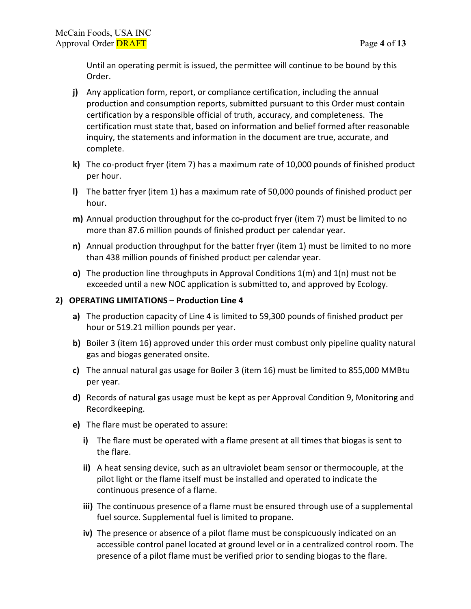Until an operating permit is issued, the permittee will continue to be bound by this Order.

- **j)** Any application form, report, or compliance certification, including the annual production and consumption reports, submitted pursuant to this Order must contain certification by a responsible official of truth, accuracy, and completeness. The certification must state that, based on information and belief formed after reasonable inquiry, the statements and information in the document are true, accurate, and complete.
- **k)** The co-product fryer (item 7) has a maximum rate of 10,000 pounds of finished product per hour.
- **l)** The batter fryer (item 1) has a maximum rate of 50,000 pounds of finished product per hour.
- **m)** Annual production throughput for the co-product fryer (item 7) must be limited to no more than 87.6 million pounds of finished product per calendar year.
- **n)** Annual production throughput for the batter fryer (item 1) must be limited to no more than 438 million pounds of finished product per calendar year.
- **o)** The production line throughputs in Approval Conditions 1(m) and 1(n) must not be exceeded until a new NOC application is submitted to, and approved by Ecology.

### **2) OPERATING LIMITATIONS – Production Line 4**

- **a)** The production capacity of Line 4 is limited to 59,300 pounds of finished product per hour or 519.21 million pounds per year.
- **b)** Boiler 3 (item 16) approved under this order must combust only pipeline quality natural gas and biogas generated onsite.
- **c)** The annual natural gas usage for Boiler 3 (item 16) must be limited to 855,000 MMBtu per year.
- **d)** Records of natural gas usage must be kept as per Approval Condition 9, Monitoring and Recordkeeping.
- **e)** The flare must be operated to assure:
	- **i)** The flare must be operated with a flame present at all times that biogas is sent to the flare.
	- **ii)** A heat sensing device, such as an ultraviolet beam sensor or thermocouple, at the pilot light or the flame itself must be installed and operated to indicate the continuous presence of a flame.
	- **iii)** The continuous presence of a flame must be ensured through use of a supplemental fuel source. Supplemental fuel is limited to propane.
	- **iv)** The presence or absence of a pilot flame must be conspicuously indicated on an accessible control panel located at ground level or in a centralized control room. The presence of a pilot flame must be verified prior to sending biogas to the flare.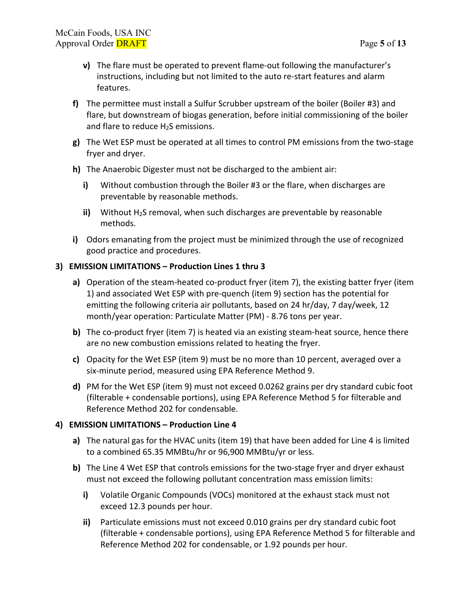- **v)** The flare must be operated to prevent flame-out following the manufacturer's instructions, including but not limited to the auto re-start features and alarm features.
- **f)** The permittee must install a Sulfur Scrubber upstream of the boiler (Boiler #3) and flare, but downstream of biogas generation, before initial commissioning of the boiler and flare to reduce  $H_2S$  emissions.
- **g)** The Wet ESP must be operated at all times to control PM emissions from the two-stage fryer and dryer.
- **h)** The Anaerobic Digester must not be discharged to the ambient air:
	- **i)** Without combustion through the Boiler #3 or the flare, when discharges are preventable by reasonable methods.
	- **ii)** Without H2S removal, when such discharges are preventable by reasonable methods.
- **i)** Odors emanating from the project must be minimized through the use of recognized good practice and procedures.

### **3) EMISSION LIMITATIONS – Production Lines 1 thru 3**

- **a)** Operation of the steam-heated co-product fryer (item 7), the existing batter fryer (item 1) and associated Wet ESP with pre-quench (item 9) section has the potential for emitting the following criteria air pollutants, based on 24 hr/day, 7 day/week, 12 month/year operation: Particulate Matter (PM) - 8.76 tons per year.
- **b)** The co-product fryer (item 7) is heated via an existing steam-heat source, hence there are no new combustion emissions related to heating the fryer.
- **c)** Opacity for the Wet ESP (item 9) must be no more than 10 percent, averaged over a six-minute period, measured using EPA Reference Method 9.
- **d)** PM for the Wet ESP (item 9) must not exceed 0.0262 grains per dry standard cubic foot (filterable + condensable portions), using EPA Reference Method 5 for filterable and Reference Method 202 for condensable.

### **4) EMISSION LIMITATIONS – Production Line 4**

- **a)** The natural gas for the HVAC units (item 19) that have been added for Line 4 is limited to a combined 65.35 MMBtu/hr or 96,900 MMBtu/yr or less.
- **b)** The Line 4 Wet ESP that controls emissions for the two-stage fryer and dryer exhaust must not exceed the following pollutant concentration mass emission limits:
	- **i)** Volatile Organic Compounds (VOCs) monitored at the exhaust stack must not exceed 12.3 pounds per hour.
	- **ii)** Particulate emissions must not exceed 0.010 grains per dry standard cubic foot (filterable + condensable portions), using EPA Reference Method 5 for filterable and Reference Method 202 for condensable, or 1.92 pounds per hour.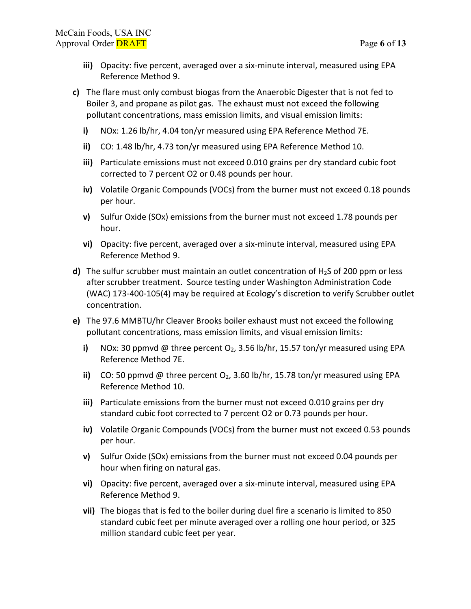- **iii)** Opacity: five percent, averaged over a six-minute interval, measured using EPA Reference Method 9.
- **c)** The flare must only combust biogas from the Anaerobic Digester that is not fed to Boiler 3, and propane as pilot gas. The exhaust must not exceed the following pollutant concentrations, mass emission limits, and visual emission limits:
	- **i)** NOx: 1.26 lb/hr, 4.04 ton/yr measured using EPA Reference Method 7E.
	- **ii)** CO: 1.48 lb/hr, 4.73 ton/yr measured using EPA Reference Method 10.
	- **iii)** Particulate emissions must not exceed 0.010 grains per dry standard cubic foot corrected to 7 percent O2 or 0.48 pounds per hour.
	- **iv)** Volatile Organic Compounds (VOCs) from the burner must not exceed 0.18 pounds per hour.
	- **v)** Sulfur Oxide (SOx) emissions from the burner must not exceed 1.78 pounds per hour.
	- **vi)** Opacity: five percent, averaged over a six-minute interval, measured using EPA Reference Method 9.
- **d)** The sulfur scrubber must maintain an outlet concentration of H2S of 200 ppm or less after scrubber treatment. Source testing under Washington Administration Code (WAC) 173-400-105(4) may be required at Ecology's discretion to verify Scrubber outlet concentration.
- **e)** The 97.6 MMBTU/hr Cleaver Brooks boiler exhaust must not exceed the following pollutant concentrations, mass emission limits, and visual emission limits:
	- **i)** NOx: 30 ppmvd @ three percent  $O_2$ , 3.56 lb/hr, 15.57 ton/yr measured using EPA Reference Method 7E.
	- **ii)** CO: 50 ppmvd @ three percent O<sub>2</sub>, 3.60 lb/hr, 15.78 ton/yr measured using EPA Reference Method 10.
	- **iii)** Particulate emissions from the burner must not exceed 0.010 grains per dry standard cubic foot corrected to 7 percent O2 or 0.73 pounds per hour.
	- **iv)** Volatile Organic Compounds (VOCs) from the burner must not exceed 0.53 pounds per hour.
	- **v)** Sulfur Oxide (SOx) emissions from the burner must not exceed 0.04 pounds per hour when firing on natural gas.
	- **vi)** Opacity: five percent, averaged over a six-minute interval, measured using EPA Reference Method 9.
	- **vii)** The biogas that is fed to the boiler during duel fire a scenario is limited to 850 standard cubic feet per minute averaged over a rolling one hour period, or 325 million standard cubic feet per year.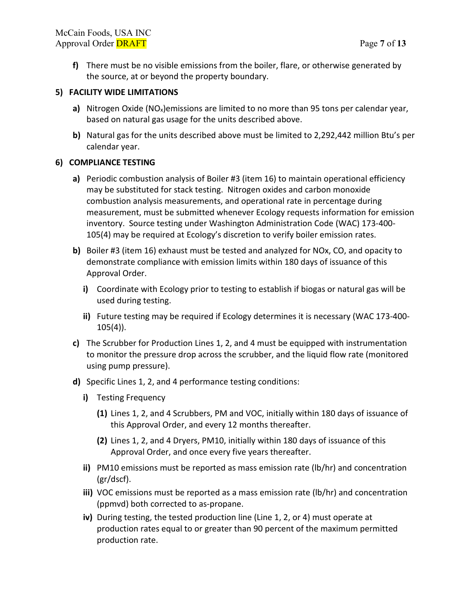**f)** There must be no visible emissions from the boiler, flare, or otherwise generated by the source, at or beyond the property boundary.

### **5) FACILITY WIDE LIMITATIONS**

- **a)** Nitrogen Oxide (NO<sub>x</sub>)emissions are limited to no more than 95 tons per calendar year, based on natural gas usage for the units described above.
- **b)** Natural gas for the units described above must be limited to 2,292,442 million Btu's per calendar year.

### **6) COMPLIANCE TESTING**

- **a)** Periodic combustion analysis of Boiler #3 (item 16) to maintain operational efficiency may be substituted for stack testing. Nitrogen oxides and carbon monoxide combustion analysis measurements, and operational rate in percentage during measurement, must be submitted whenever Ecology requests information for emission inventory. Source testing under Washington Administration Code (WAC) 173-400- 105(4) may be required at Ecology's discretion to verify boiler emission rates.
- **b)** Boiler #3 (item 16) exhaust must be tested and analyzed for NOx, CO, and opacity to demonstrate compliance with emission limits within 180 days of issuance of this Approval Order.
	- **i)** Coordinate with Ecology prior to testing to establish if biogas or natural gas will be used during testing.
	- **ii)** Future testing may be required if Ecology determines it is necessary (WAC 173-400- 105(4)).
- **c)** The Scrubber for Production Lines 1, 2, and 4 must be equipped with instrumentation to monitor the pressure drop across the scrubber, and the liquid flow rate (monitored using pump pressure).
- **d)** Specific Lines 1, 2, and 4 performance testing conditions:
	- **i)** Testing Frequency
		- **(1)** Lines 1, 2, and 4 Scrubbers, PM and VOC, initially within 180 days of issuance of this Approval Order, and every 12 months thereafter.
		- **(2)** Lines 1, 2, and 4 Dryers, PM10, initially within 180 days of issuance of this Approval Order, and once every five years thereafter.
	- **ii)** PM10 emissions must be reported as mass emission rate (lb/hr) and concentration (gr/dscf).
	- **iii)** VOC emissions must be reported as a mass emission rate (lb/hr) and concentration (ppmvd) both corrected to as-propane.
	- **iv)** During testing, the tested production line (Line 1, 2, or 4) must operate at production rates equal to or greater than 90 percent of the maximum permitted production rate.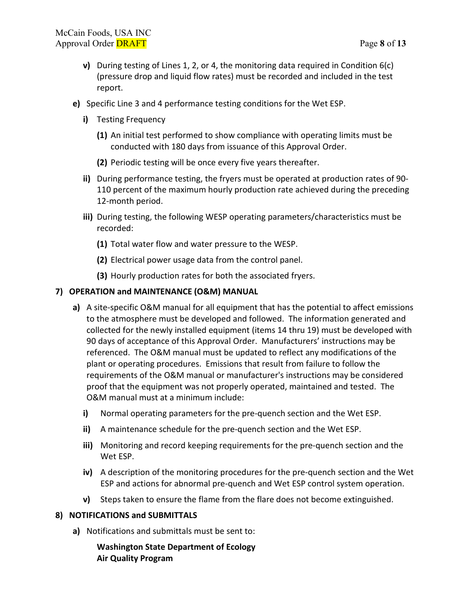- **v)** During testing of Lines 1, 2, or 4, the monitoring data required in Condition 6(c) (pressure drop and liquid flow rates) must be recorded and included in the test report.
- **e)** Specific Line 3 and 4 performance testing conditions for the Wet ESP.
	- **i)** Testing Frequency
		- **(1)** An initial test performed to show compliance with operating limits must be conducted with 180 days from issuance of this Approval Order.
		- **(2)** Periodic testing will be once every five years thereafter.
	- **ii)** During performance testing, the fryers must be operated at production rates of 90- 110 percent of the maximum hourly production rate achieved during the preceding 12-month period.
	- **iii)** During testing, the following WESP operating parameters/characteristics must be recorded:
		- **(1)** Total water flow and water pressure to the WESP.
		- **(2)** Electrical power usage data from the control panel.
		- **(3)** Hourly production rates for both the associated fryers.

### **7) OPERATION and MAINTENANCE (O&M) MANUAL**

- **a)** A site-specific O&M manual for all equipment that has the potential to affect emissions to the atmosphere must be developed and followed. The information generated and collected for the newly installed equipment (items 14 thru 19) must be developed with 90 days of acceptance of this Approval Order. Manufacturers' instructions may be referenced. The O&M manual must be updated to reflect any modifications of the plant or operating procedures. Emissions that result from failure to follow the requirements of the O&M manual or manufacturer's instructions may be considered proof that the equipment was not properly operated, maintained and tested. The O&M manual must at a minimum include:
	- **i)** Normal operating parameters for the pre-quench section and the Wet ESP.
	- **ii)** A maintenance schedule for the pre-quench section and the Wet ESP.
	- **iii)** Monitoring and record keeping requirements for the pre-quench section and the Wet ESP.
	- **iv)** A description of the monitoring procedures for the pre-quench section and the Wet ESP and actions for abnormal pre-quench and Wet ESP control system operation.
	- **v)** Steps taken to ensure the flame from the flare does not become extinguished.

### **8) NOTIFICATIONS and SUBMITTALS**

**a)** Notifications and submittals must be sent to:

### **Washington State Department of Ecology Air Quality Program**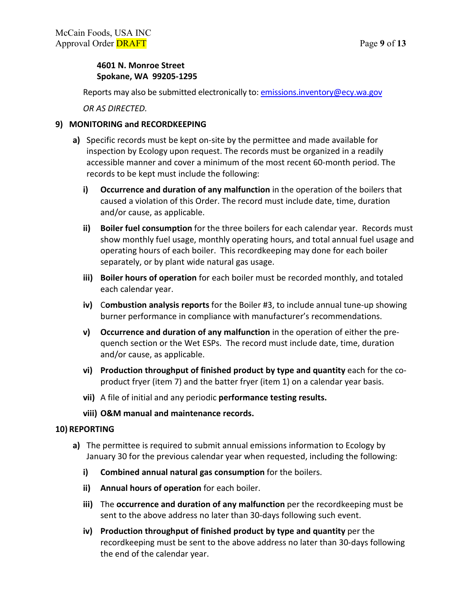# **4601 N. Monroe Street Spokane, WA 99205-1295**

Reports may also be submitted electronically to: [emissions.inventory@ecy.wa.gov](mailto:emissions.inventory@ecy.wa.gov)

*OR AS DIRECTED.*

### **9) MONITORING and RECORDKEEPING**

- **a)** Specific records must be kept on-site by the permittee and made available for inspection by Ecology upon request. The records must be organized in a readily accessible manner and cover a minimum of the most recent 60-month period. The records to be kept must include the following:
	- **i) Occurrence and duration of any malfunction** in the operation of the boilers that caused a violation of this Order. The record must include date, time, duration and/or cause, as applicable.
	- **ii) Boiler fuel consumption** for the three boilers for each calendar year. Records must show monthly fuel usage, monthly operating hours, and total annual fuel usage and operating hours of each boiler. This recordkeeping may done for each boiler separately, or by plant wide natural gas usage.
	- **iii) Boiler hours of operation** for each boiler must be recorded monthly, and totaled each calendar year.
	- **iv)** C**ombustion analysis reports** for the Boiler #3, to include annual tune-up showing burner performance in compliance with manufacturer's recommendations.
	- **v) Occurrence and duration of any malfunction** in the operation of either the prequench section or the Wet ESPs. The record must include date, time, duration and/or cause, as applicable.
	- **vi) Production throughput of finished product by type and quantity** each for the coproduct fryer (item 7) and the batter fryer (item 1) on a calendar year basis.
	- **vii)** A file of initial and any periodic **performance testing results.**
	- **viii) O&M manual and maintenance records.**

### **10) REPORTING**

- **a)** The permittee is required to submit annual emissions information to Ecology by January 30 for the previous calendar year when requested, including the following:
	- **i) Combined annual natural gas consumption** for the boilers.
	- **ii) Annual hours of operation** for each boiler.
	- **iii)** The **occurrence and duration of any malfunction** per the recordkeeping must be sent to the above address no later than 30-days following such event.
	- **iv) Production throughput of finished product by type and quantity** per the recordkeeping must be sent to the above address no later than 30-days following the end of the calendar year.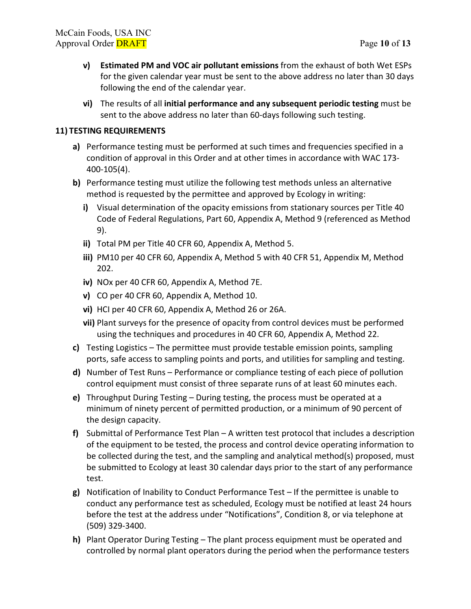- **v) Estimated PM and VOC air pollutant emissions** from the exhaust of both Wet ESPs for the given calendar year must be sent to the above address no later than 30 days following the end of the calendar year.
- **vi)** The results of all **initial performance and any subsequent periodic testing** must be sent to the above address no later than 60-days following such testing.

## **11) TESTING REQUIREMENTS**

- **a)** Performance testing must be performed at such times and frequencies specified in a condition of approval in this Order and at other times in accordance with WAC 173- 400-105(4).
- **b)** Performance testing must utilize the following test methods unless an alternative method is requested by the permittee and approved by Ecology in writing:
	- **i)** Visual determination of the opacity emissions from stationary sources per Title 40 Code of Federal Regulations, Part 60, Appendix A, Method 9 (referenced as Method 9).
	- **ii)** Total PM per Title 40 CFR 60, Appendix A, Method 5.
	- **iii)** PM10 per 40 CFR 60, Appendix A, Method 5 with 40 CFR 51, Appendix M, Method 202.
	- **iv)** NOx per 40 CFR 60, Appendix A, Method 7E.
	- **v)** CO per 40 CFR 60, Appendix A, Method 10.
	- **vi)** HCI per 40 CFR 60, Appendix A, Method 26 or 26A.
	- **vii)** Plant surveys for the presence of opacity from control devices must be performed using the techniques and procedures in 40 CFR 60, Appendix A, Method 22.
- **c)** Testing Logistics The permittee must provide testable emission points, sampling ports, safe access to sampling points and ports, and utilities for sampling and testing.
- **d)** Number of Test Runs Performance or compliance testing of each piece of pollution control equipment must consist of three separate runs of at least 60 minutes each.
- **e)** Throughput During Testing During testing, the process must be operated at a minimum of ninety percent of permitted production, or a minimum of 90 percent of the design capacity.
- **f)** Submittal of Performance Test Plan A written test protocol that includes a description of the equipment to be tested, the process and control device operating information to be collected during the test, and the sampling and analytical method(s) proposed, must be submitted to Ecology at least 30 calendar days prior to the start of any performance test.
- **g)** Notification of Inability to Conduct Performance Test If the permittee is unable to conduct any performance test as scheduled, Ecology must be notified at least 24 hours before the test at the address under "Notifications", Condition 8, or via telephone at (509) 329-3400.
- **h)** Plant Operator During Testing The plant process equipment must be operated and controlled by normal plant operators during the period when the performance testers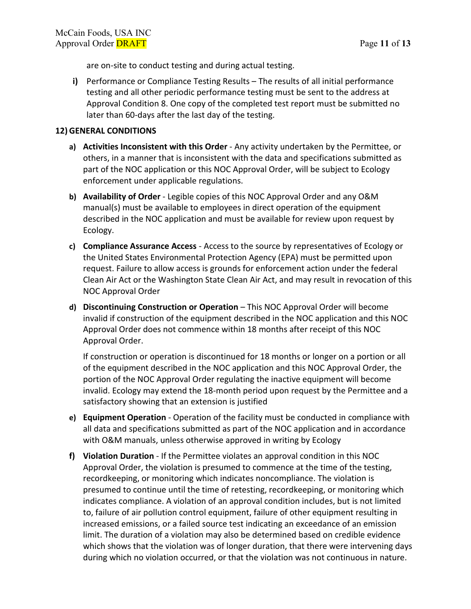are on-site to conduct testing and during actual testing.

**i)** Performance or Compliance Testing Results – The results of all initial performance testing and all other periodic performance testing must be sent to the address at Approval Condition 8. One copy of the completed test report must be submitted no later than 60-days after the last day of the testing.

#### **12) GENERAL CONDITIONS**

- **a) Activities Inconsistent with this Order** Any activity undertaken by the Permittee, or others, in a manner that is inconsistent with the data and specifications submitted as part of the NOC application or this NOC Approval Order, will be subject to Ecology enforcement under applicable regulations.
- **b) Availability of Order** Legible copies of this NOC Approval Order and any O&M manual(s) must be available to employees in direct operation of the equipment described in the NOC application and must be available for review upon request by Ecology.
- **c) Compliance Assurance Access** Access to the source by representatives of Ecology or the United States Environmental Protection Agency (EPA) must be permitted upon request. Failure to allow access is grounds for enforcement action under the federal Clean Air Act or the Washington State Clean Air Act, and may result in revocation of this NOC Approval Order
- **d) Discontinuing Construction or Operation** This NOC Approval Order will become invalid if construction of the equipment described in the NOC application and this NOC Approval Order does not commence within 18 months after receipt of this NOC Approval Order.

If construction or operation is discontinued for 18 months or longer on a portion or all of the equipment described in the NOC application and this NOC Approval Order, the portion of the NOC Approval Order regulating the inactive equipment will become invalid. Ecology may extend the 18-month period upon request by the Permittee and a satisfactory showing that an extension is justified

- **e) Equipment Operation** Operation of the facility must be conducted in compliance with all data and specifications submitted as part of the NOC application and in accordance with O&M manuals, unless otherwise approved in writing by Ecology
- **f) Violation Duration** If the Permittee violates an approval condition in this NOC Approval Order, the violation is presumed to commence at the time of the testing, recordkeeping, or monitoring which indicates noncompliance. The violation is presumed to continue until the time of retesting, recordkeeping, or monitoring which indicates compliance. A violation of an approval condition includes, but is not limited to, failure of air pollution control equipment, failure of other equipment resulting in increased emissions, or a failed source test indicating an exceedance of an emission limit. The duration of a violation may also be determined based on credible evidence which shows that the violation was of longer duration, that there were intervening days during which no violation occurred, or that the violation was not continuous in nature.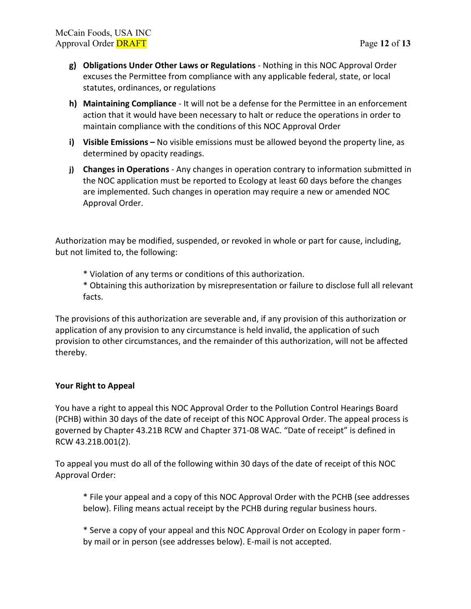- **g) Obligations Under Other Laws or Regulations** Nothing in this NOC Approval Order excuses the Permittee from compliance with any applicable federal, state, or local statutes, ordinances, or regulations
- **h) Maintaining Compliance** It will not be a defense for the Permittee in an enforcement action that it would have been necessary to halt or reduce the operations in order to maintain compliance with the conditions of this NOC Approval Order
- **i) Visible Emissions –** No visible emissions must be allowed beyond the property line, as determined by opacity readings.
- **j) Changes in Operations** Any changes in operation contrary to information submitted in the NOC application must be reported to Ecology at least 60 days before the changes are implemented. Such changes in operation may require a new or amended NOC Approval Order.

Authorization may be modified, suspended, or revoked in whole or part for cause, including, but not limited to, the following:

\* Violation of any terms or conditions of this authorization.

\* Obtaining this authorization by misrepresentation or failure to disclose full all relevant facts.

The provisions of this authorization are severable and, if any provision of this authorization or application of any provision to any circumstance is held invalid, the application of such provision to other circumstances, and the remainder of this authorization, will not be affected thereby.

### **Your Right to Appeal**

You have a right to appeal this NOC Approval Order to the Pollution Control Hearings Board (PCHB) within 30 days of the date of receipt of this NOC Approval Order. The appeal process is governed by Chapter 43.21B RCW and Chapter 371-08 WAC. "Date of receipt" is defined in RCW 43.21B.001(2).

To appeal you must do all of the following within 30 days of the date of receipt of this NOC Approval Order:

\* File your appeal and a copy of this NOC Approval Order with the PCHB (see addresses below). Filing means actual receipt by the PCHB during regular business hours.

\* Serve a copy of your appeal and this NOC Approval Order on Ecology in paper form by mail or in person (see addresses below). E-mail is not accepted.